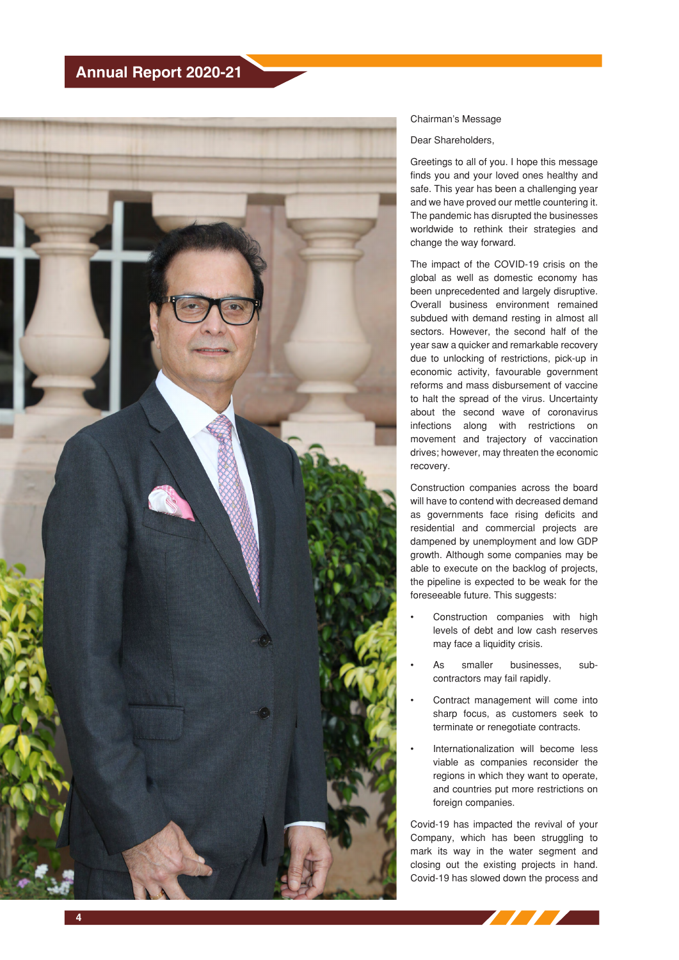

## Chairman's Message

Dear Shareholders,

Greetings to all of you. I hope this message finds you and your loved ones healthy and safe. This year has been a challenging year and we have proved our mettle countering it. The pandemic has disrupted the businesses worldwide to rethink their strategies and change the way forward.

The impact of the COVID-19 crisis on the global as well as domestic economy has been unprecedented and largely disruptive. Overall business environment remained subdued with demand resting in almost all sectors. However, the second half of the year saw a quicker and remarkable recovery due to unlocking of restrictions, pick-up in economic activity, favourable government reforms and mass disbursement of vaccine to halt the spread of the virus. Uncertainty about the second wave of coronavirus infections along with restrictions on movement and trajectory of vaccination drives; however, may threaten the economic recovery.

Construction companies across the board will have to contend with decreased demand as governments face rising deficits and residential and commercial projects are dampened by unemployment and low GDP growth. Although some companies may be able to execute on the backlog of projects, the pipeline is expected to be weak for the foreseeable future. This suggests:

- Construction companies with high levels of debt and low cash reserves may face a liquidity crisis.
- As smaller businesses, subcontractors may fail rapidly.
- Contract management will come into sharp focus, as customers seek to terminate or renegotiate contracts.
- Internationalization will become less viable as companies reconsider the regions in which they want to operate, and countries put more restrictions on foreign companies.

Covid-19 has impacted the revival of your Company, which has been struggling to mark its way in the water segment and closing out the existing projects in hand. Covid-19 has slowed down the process and